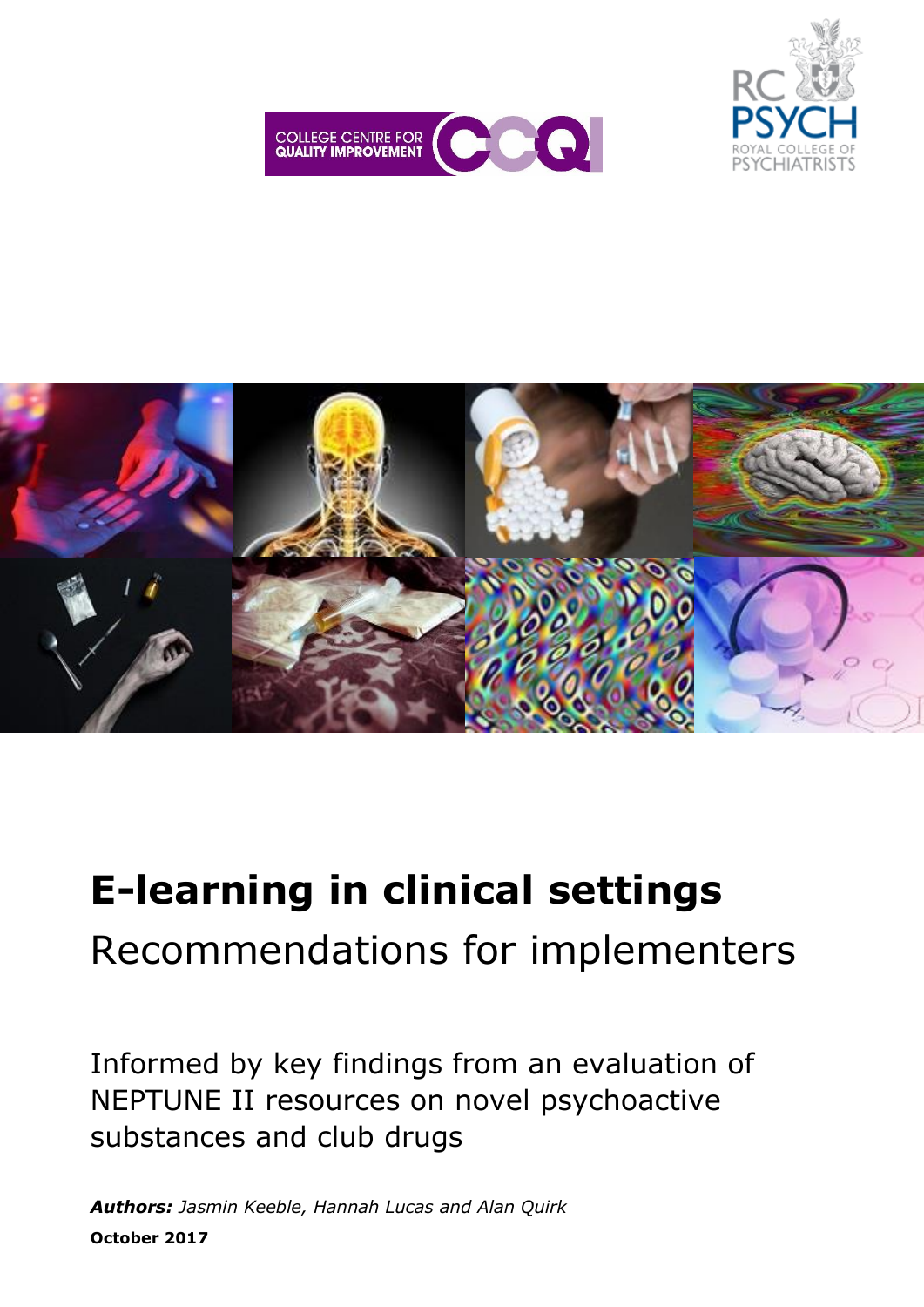





# **E-learning in clinical settings** Recommendations for implementers

Informed by key findings from an evaluation of NEPTUNE II resources on novel psychoactive substances and club drugs

*Authors: Jasmin Keeble, Hannah Lucas and Alan Quirk*  **October 2017**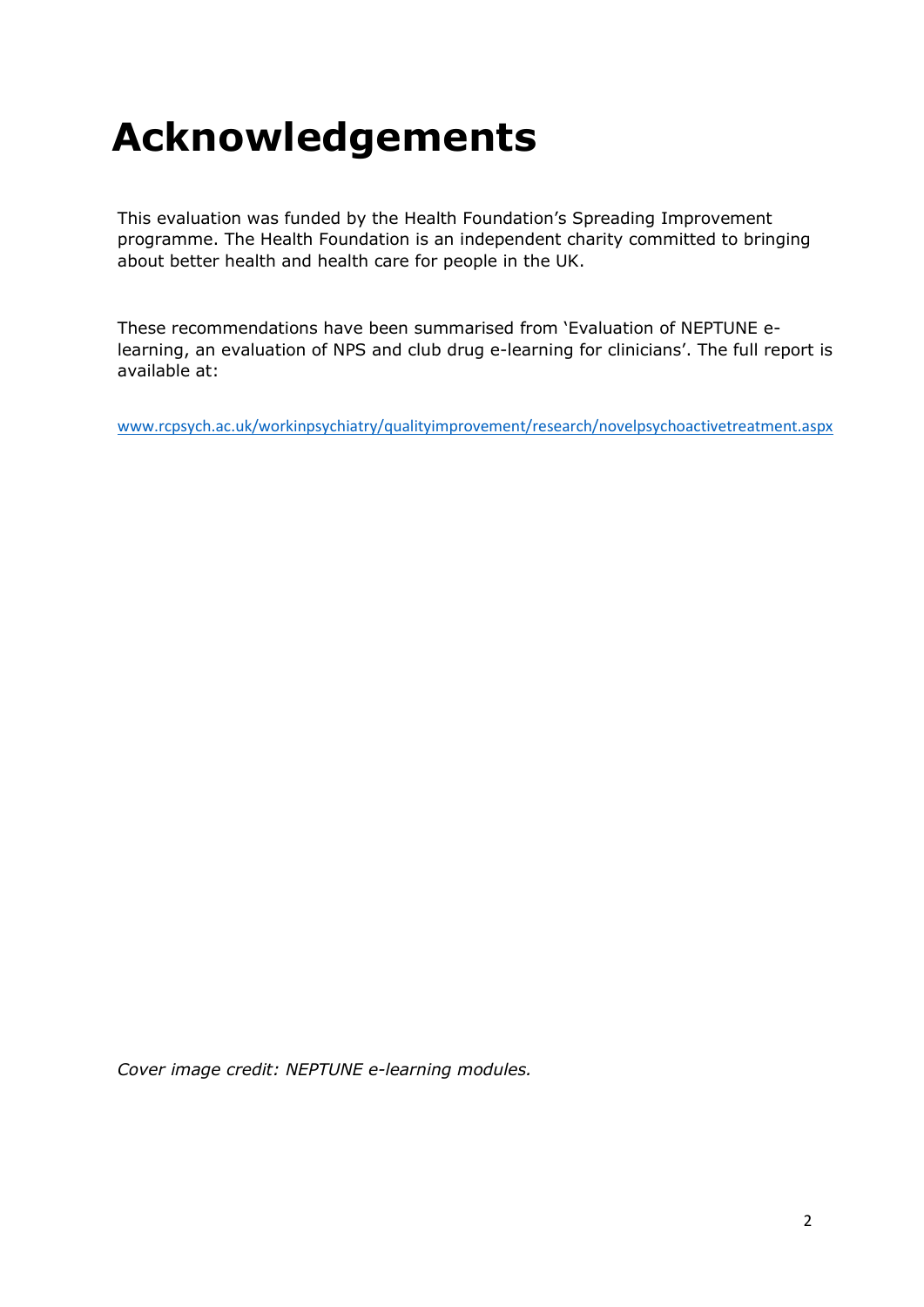# **Acknowledgements**

This evaluation was funded by the Health Foundation's Spreading Improvement programme. The Health Foundation is an independent charity committed to bringing about better health and health care for people in the UK.

These recommendations have been summarised from 'Evaluation of NEPTUNE elearning, an evaluation of NPS and club drug e-learning for clinicians'. The full report is available at:

[www.rcpsych.ac.uk/workinpsychiatry/qualityimprovement/research/novelpsychoactivetreatment.aspx](http://www.rcpsych.ac.uk/workinpsychiatry/qualityimprovement/research/novelpsychoactivetreatment.aspx) 

*Cover image credit: NEPTUNE e-learning modules.*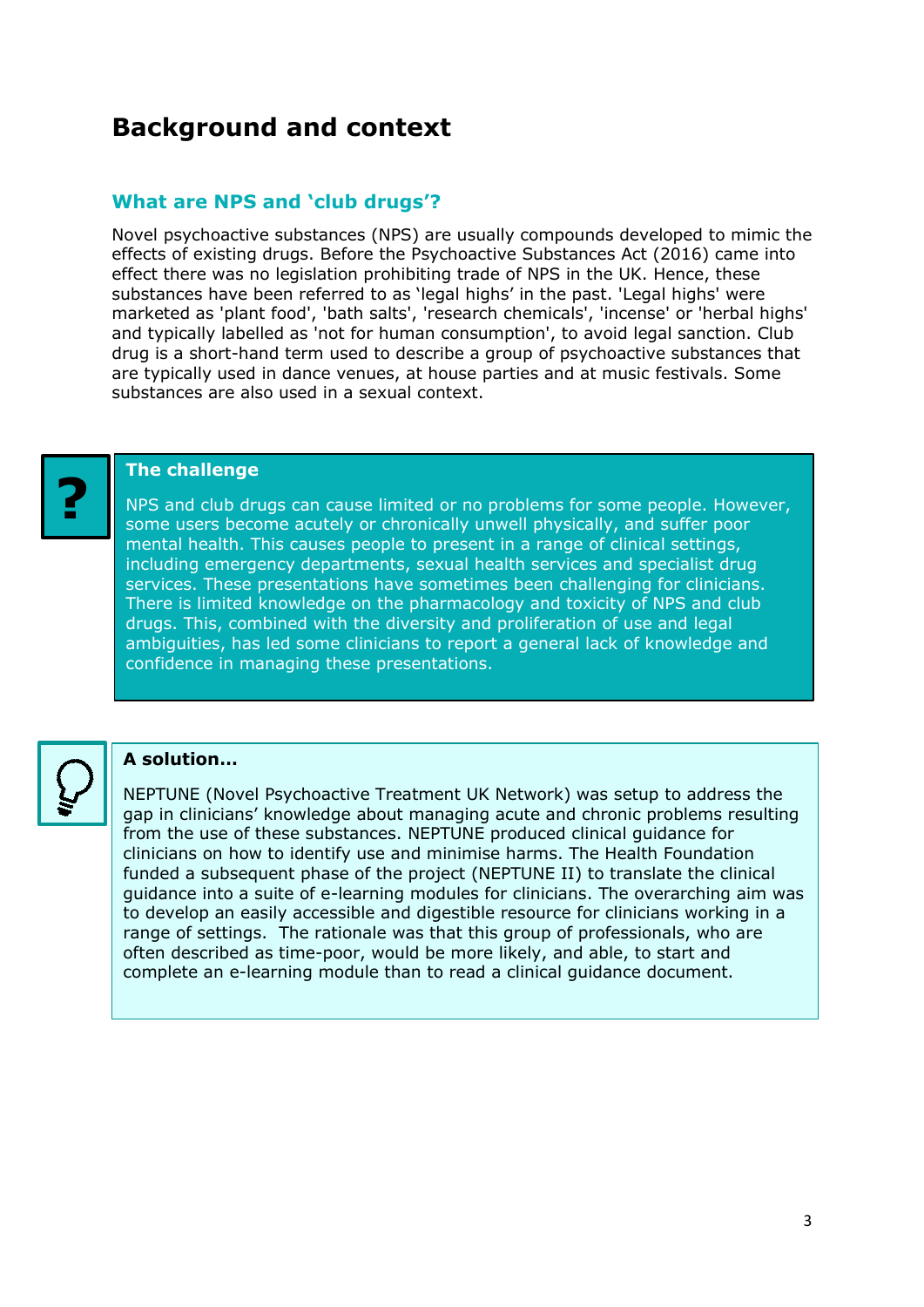# **Background and context**

### **What are NPS and 'club drugs'?**

Novel psychoactive substances (NPS) are usually compounds developed to mimic the effects of existing drugs. Before the Psychoactive Substances Act (2016) came into effect there was no legislation prohibiting trade of NPS in the UK. Hence, these substances have been referred to as 'legal highs' in the past. 'Legal highs' were marketed as 'plant food', 'bath salts', 'research chemicals', 'incense' or 'herbal highs' and typically labelled as 'not for human consumption', to avoid legal sanction. Club drug is a short-hand term used to describe a group of psychoactive substances that are typically used in dance venues, at house parties and at music festivals. Some substances are also used in a sexual context.



#### **The challenge**

NPS and club drugs can cause limited or no problems for some people. However, some users become acutely or chronically unwell physically, and suffer poor mental health. This causes people to present in a range of clinical settings, including emergency departments, sexual health services and specialist drug services. These presentations have sometimes been challenging for clinicians. There is limited knowledge on the pharmacology and toxicity of NPS and club drugs. This, combined with the diversity and proliferation of use and legal ambiguities, has led some clinicians to report a general lack of knowledge and confidence in managing these presentations.



#### **A solution…**

NEPTUNE (Novel Psychoactive Treatment UK Network) was setup to address the gap in clinicians' knowledge about managing acute and chronic problems resulting from the use of these substances. NEPTUNE produced clinical guidance for clinicians on how to identify use and minimise harms. The Health Foundation funded a subsequent phase of the project (NEPTUNE II) to translate the clinical guidance into a suite of e-learning modules for clinicians. The overarching aim was to develop an easily accessible and digestible resource for clinicians working in a range of settings. The rationale was that this group of professionals, who are often described as time-poor, would be more likely, and able, to start and complete an e-learning module than to read a clinical guidance document.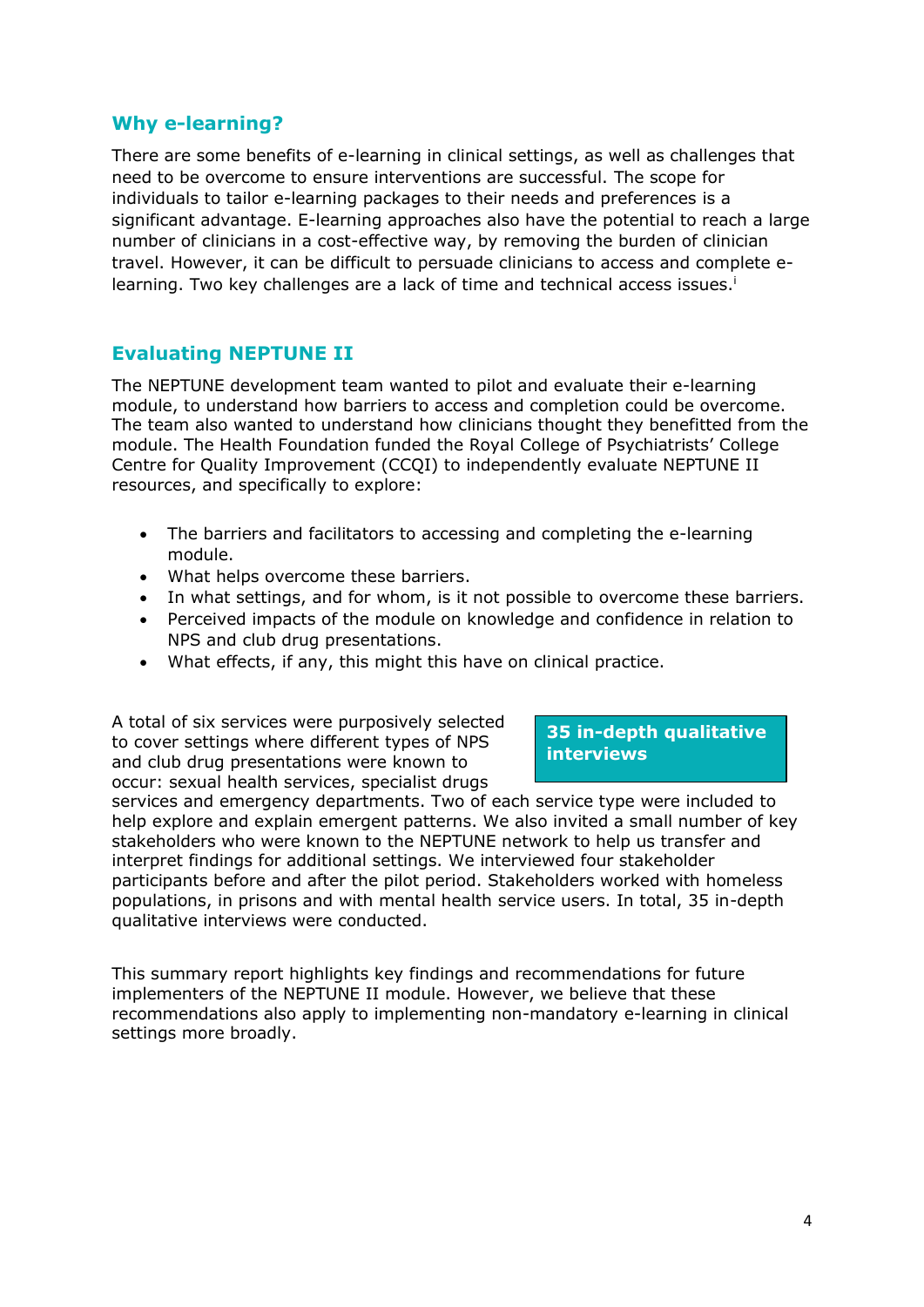#### **Why e-learning?**

There are some benefits of e-learning in clinical settings, as well as challenges that need to be overcome to ensure interventions are successful. The scope for individuals to tailor e-learning packages to their needs and preferences is a significant advantage. E-learning approaches also have the potential to reach a large number of clinicians in a cost-effective way, by removing the burden of clinician travel. However, it can be difficult to persuade clinicians to access and complete elearning. Two key challenges are a lack of time and technical access issues.<sup>i</sup>

#### **Evaluating NEPTUNE II**

The NEPTUNE development team wanted to pilot and evaluate their e-learning module, to understand how barriers to access and completion could be overcome. The team also wanted to understand how clinicians thought they benefitted from the module. The Health Foundation funded the Royal College of Psychiatrists' College Centre for Quality Improvement (CCQI) to independently evaluate NEPTUNE II resources, and specifically to explore:

- The barriers and facilitators to accessing and completing the e-learning module.
- What helps overcome these barriers.
- In what settings, and for whom, is it not possible to overcome these barriers.
- Perceived impacts of the module on knowledge and confidence in relation to NPS and club drug presentations.
- What effects, if any, this might this have on clinical practice.

A total of six services were purposively selected to cover settings where different types of NPS and club drug presentations were known to occur: sexual health services, specialist drugs

#### **35 in-depth qualitative interviews**

occur: sexual health services, specialist drugs<br>services and emergency departments. Two of each service type were included to help explore and explain emergent patterns. We also invited a small number of key stakeholders who were known to the NEPTUNE network to help us transfer and interpret findings for additional settings. We interviewed four stakeholder participants before and after the pilot period. Stakeholders worked with homeless populations, in prisons and with mental health service users. In total, 35 in-depth qualitative interviews were conducted.

This summary report highlights key findings and recommendations for future implementers of the NEPTUNE II module. However, we believe that these recommendations also apply to implementing non-mandatory e-learning in clinical settings more broadly.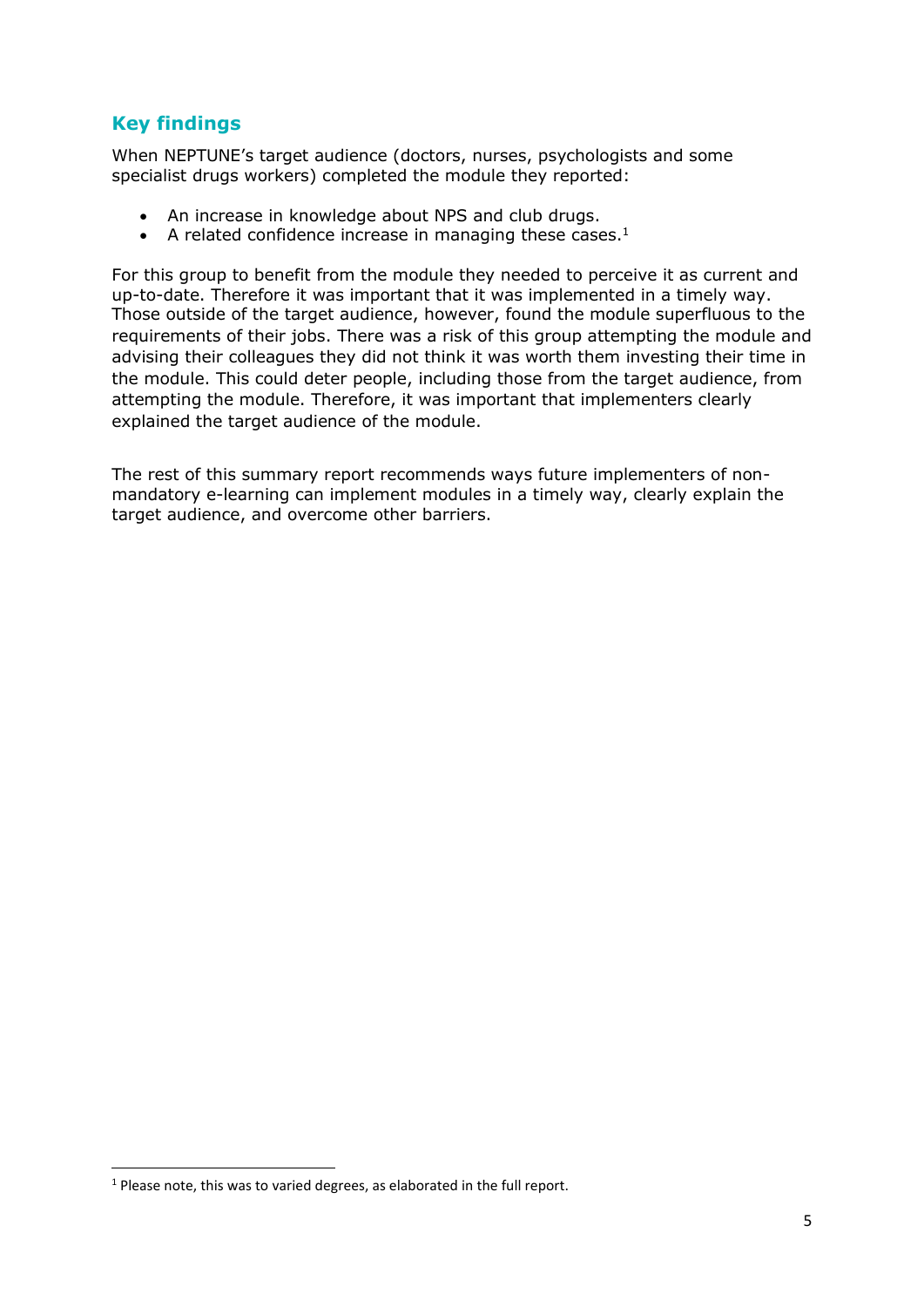## **Key findings**

When NEPTUNE's target audience (doctors, nurses, psychologists and some specialist drugs workers) completed the module they reported:

- An increase in knowledge about NPS and club drugs.
- A related confidence increase in managing these cases.<sup>1</sup>

For this group to benefit from the module they needed to perceive it as current and up-to-date. Therefore it was important that it was implemented in a timely way. Those outside of the target audience, however, found the module superfluous to the requirements of their jobs. There was a risk of this group attempting the module and advising their colleagues they did not think it was worth them investing their time in the module. This could deter people, including those from the target audience, from attempting the module. Therefore, it was important that implementers clearly explained the target audience of the module.

The rest of this summary report recommends ways future implementers of nonmandatory e-learning can implement modules in a timely way, clearly explain the target audience, and overcome other barriers.

**.** 

 $1$  Please note, this was to varied degrees, as elaborated in the full report.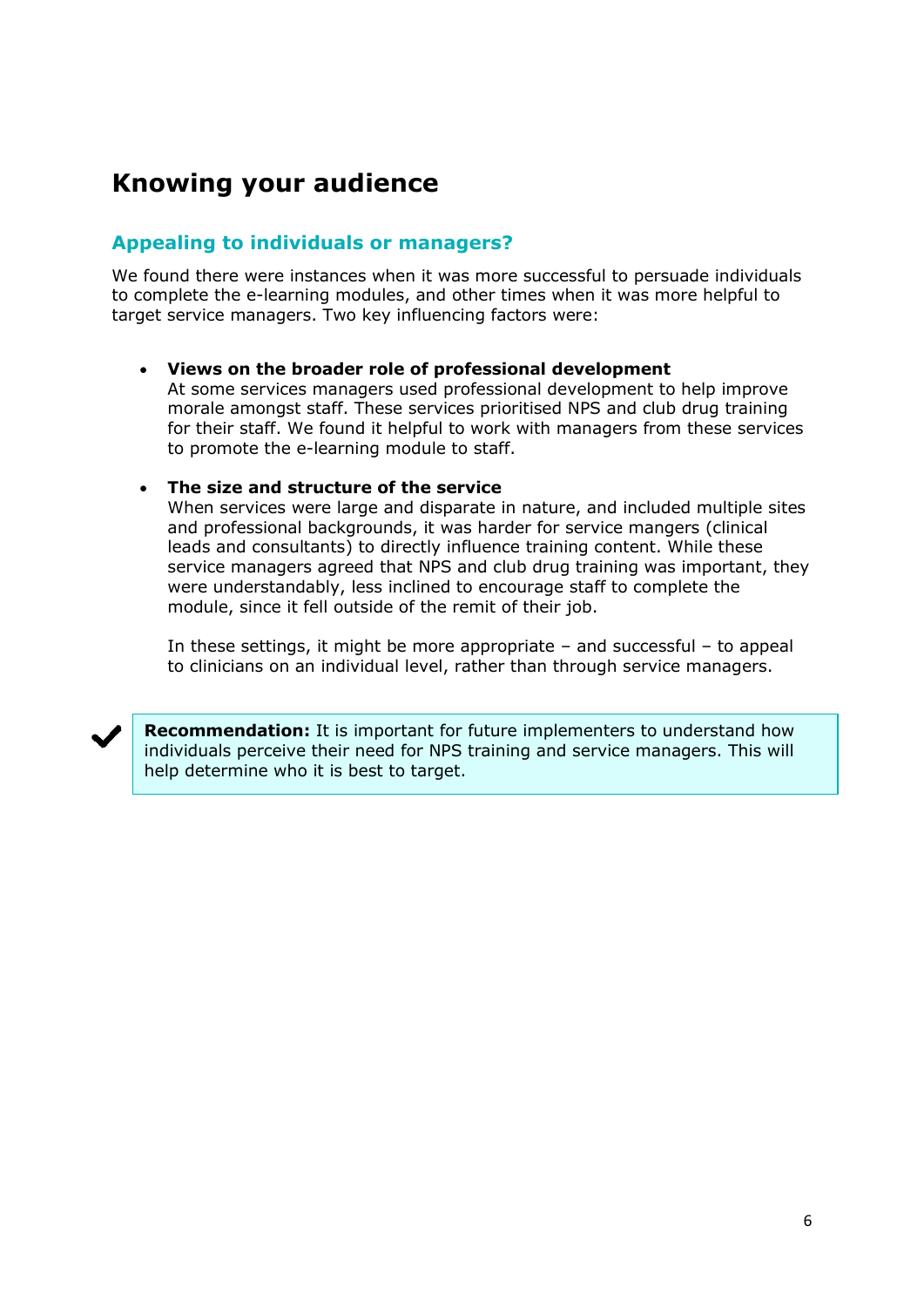# **Knowing your audience**

### **Appealing to individuals or managers?**

We found there were instances when it was more successful to persuade individuals to complete the e-learning modules, and other times when it was more helpful to target service managers. Two key influencing factors were:

#### **Views on the broader role of professional development**

At some services managers used professional development to help improve morale amongst staff. These services prioritised NPS and club drug training for their staff. We found it helpful to work with managers from these services to promote the e-learning module to staff.

#### **The size and structure of the service**

When services were large and disparate in nature, and included multiple sites and professional backgrounds, it was harder for service mangers (clinical leads and consultants) to directly influence training content. While these service managers agreed that NPS and club drug training was important, they were understandably, less inclined to encourage staff to complete the module, since it fell outside of the remit of their job.

In these settings, it might be more appropriate – and successful – to appeal to clinicians on an individual level, rather than through service managers.



**Recommendation:** It is important for future implementers to understand how individuals perceive their need for NPS training and service managers. This will help determine who it is best to target.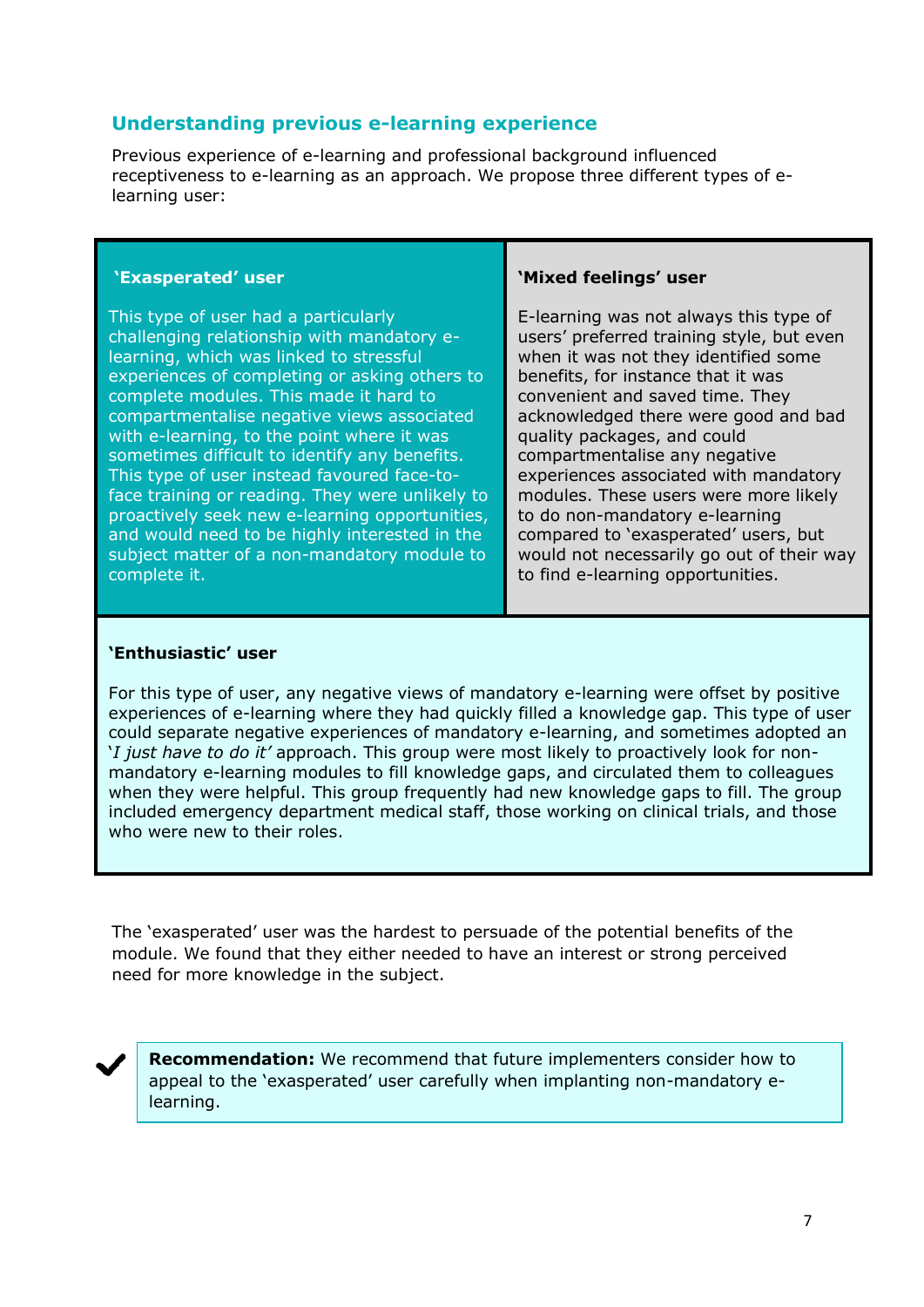#### **Understanding previous e-learning experience**

Previous experience of e-learning and professional background influenced receptiveness to e-learning as an approach. We propose three different types of elearning user:

#### **'Exasperated' user**

This type of user had a particularly challenging relationship with mandatory elearning, which was linked to stressful experiences of completing or asking others to complete modules. This made it hard to compartmentalise negative views associated with e-learning, to the point where it was sometimes difficult to identify any benefits. This type of user instead favoured face-toface training or reading. They were unlikely to proactively seek new e-learning opportunities, and would need to be highly interested in the subject matter of a non-mandatory module to complete it.

#### **'Mixed feelings' user**

E-learning was not always this type of users' preferred training style, but even when it was not they identified some benefits, for instance that it was convenient and saved time. They acknowledged there were good and bad quality packages, and could compartmentalise any negative experiences associated with mandatory modules. These users were more likely to do non-mandatory e-learning compared to 'exasperated' users, but would not necessarily go out of their way to find e-learning opportunities.

#### **'Enthusiastic' user**

For this type of user, any negative views of mandatory e-learning were offset by positive experiences of e-learning where they had quickly filled a knowledge gap. This type of user could separate negative experiences of mandatory e-learning, and sometimes adopted an '*I just have to do it'* approach. This group were most likely to proactively look for nonmandatory e-learning modules to fill knowledge gaps, and circulated them to colleagues when they were helpful. This group frequently had new knowledge gaps to fill. The group included emergency department medical staff, those working on clinical trials, and those who were new to their roles.

The 'exasperated' user was the hardest to persuade of the potential benefits of the module. We found that they either needed to have an interest or strong perceived need for more knowledge in the subject.

**Recommendation:** We recommend that future implementers consider how to appeal to the 'exasperated' user carefully when implanting non-mandatory elearning.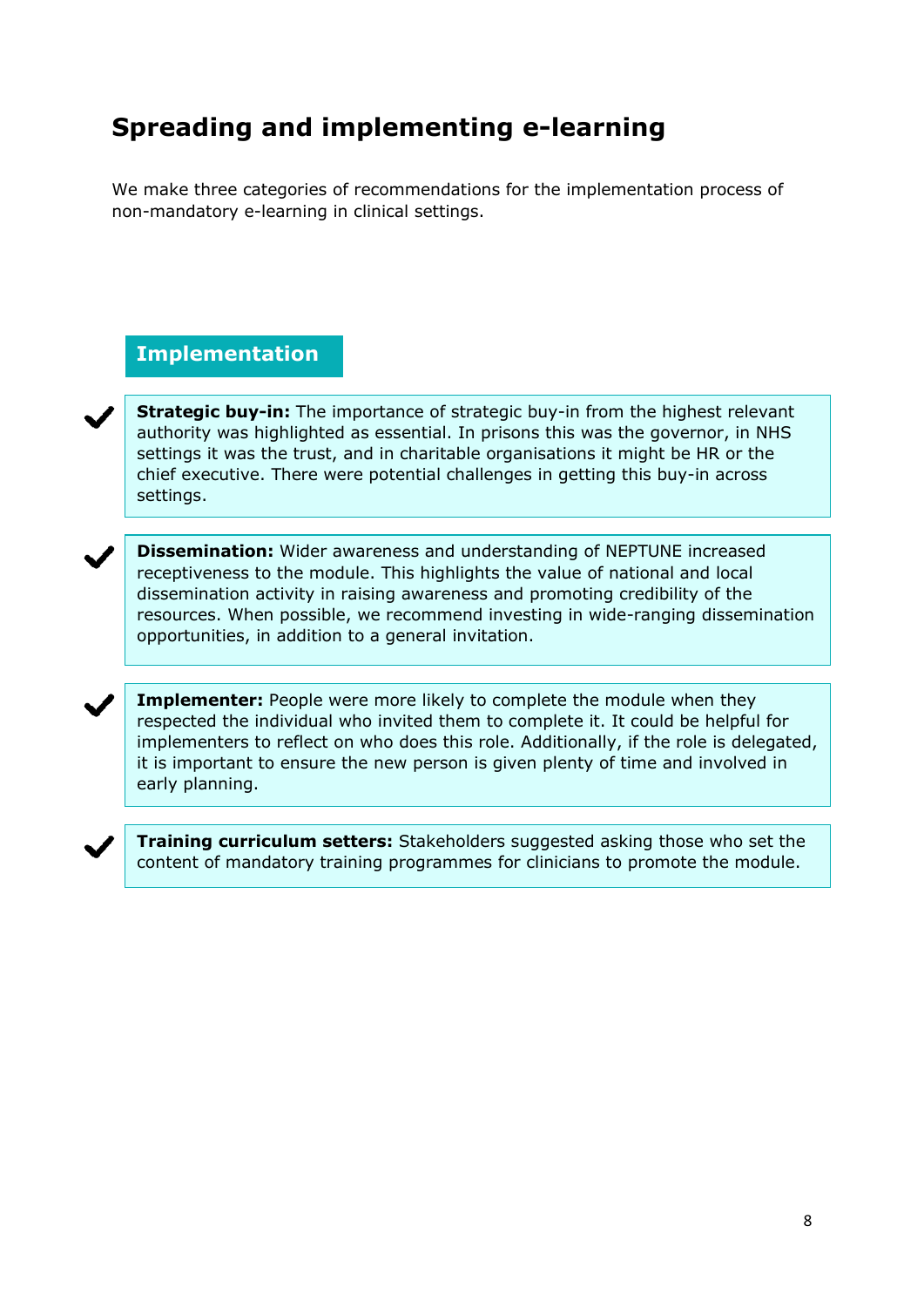# **Spreading and implementing e-learning**

We make three categories of recommendations for the implementation process of non-mandatory e-learning in clinical settings.

## **Implementation**

**Strategic buy-in:** The importance of strategic buy-in from the highest relevant authority was highlighted as essential. In prisons this was the governor, in NHS settings it was the trust, and in charitable organisations it might be HR or the chief executive. There were potential challenges in getting this buy-in across settings.

**Dissemination:** Wider awareness and understanding of NEPTUNE increased receptiveness to the module. This highlights the value of national and local dissemination activity in raising awareness and promoting credibility of the resources. When possible, we recommend investing in wide-ranging dissemination opportunities, in addition to a general invitation.

**Implementer:** People were more likely to complete the module when they respected the individual who invited them to complete it. It could be helpful for implementers to reflect on who does this role. Additionally, if the role is delegated, it is important to ensure the new person is given plenty of time and involved in early planning.



**Training curriculum setters:** Stakeholders suggested asking those who set the content of mandatory training programmes for clinicians to promote the module.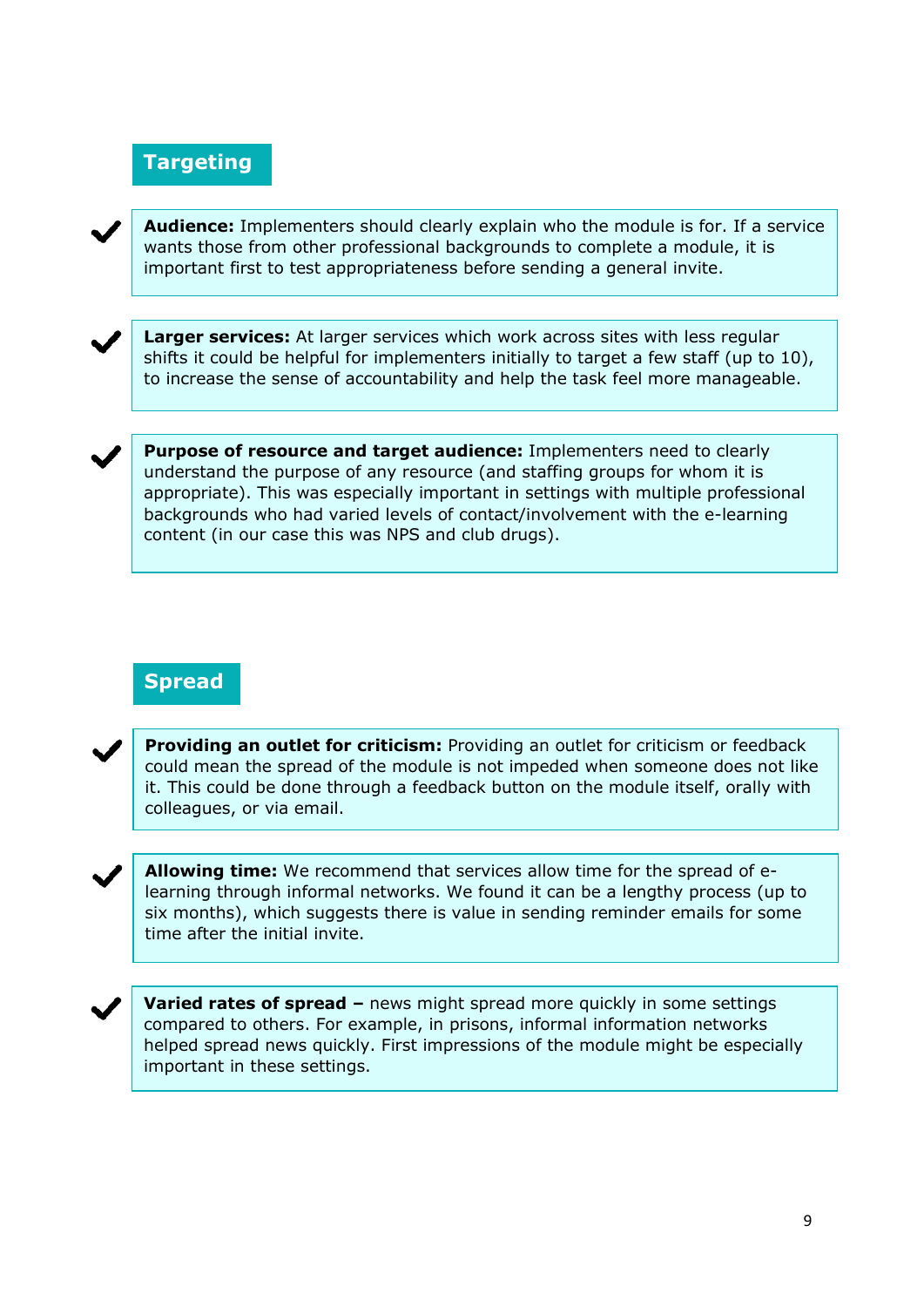## **Targeting**



**Audience:** Implementers should clearly explain who the module is for. If a service wants those from other professional backgrounds to complete a module, it is important first to test appropriateness before sending a general invite.



**Larger services:** At larger services which work across sites with less regular shifts it could be helpful for implementers initially to target a few staff (up to 10), to increase the sense of accountability and help the task feel more manageable.

**Purpose of resource and target audience:** Implementers need to clearly understand the purpose of any resource (and staffing groups for whom it is appropriate). This was especially important in settings with multiple professional backgrounds who had varied levels of contact/involvement with the e-learning content (in our case this was NPS and club drugs).

## **Spread**



**Providing an outlet for criticism:** Providing an outlet for criticism or feedback could mean the spread of the module is not impeded when someone does not like it. This could be done through a feedback button on the module itself, orally with colleagues, or via email.



**Allowing time:** We recommend that services allow time for the spread of elearning through informal networks. We found it can be a lengthy process (up to six months), which suggests there is value in sending reminder emails for some time after the initial invite.



**Varied rates of spread –** news might spread more quickly in some settings compared to others. For example, in prisons, informal information networks helped spread news quickly. First impressions of the module might be especially important in these settings.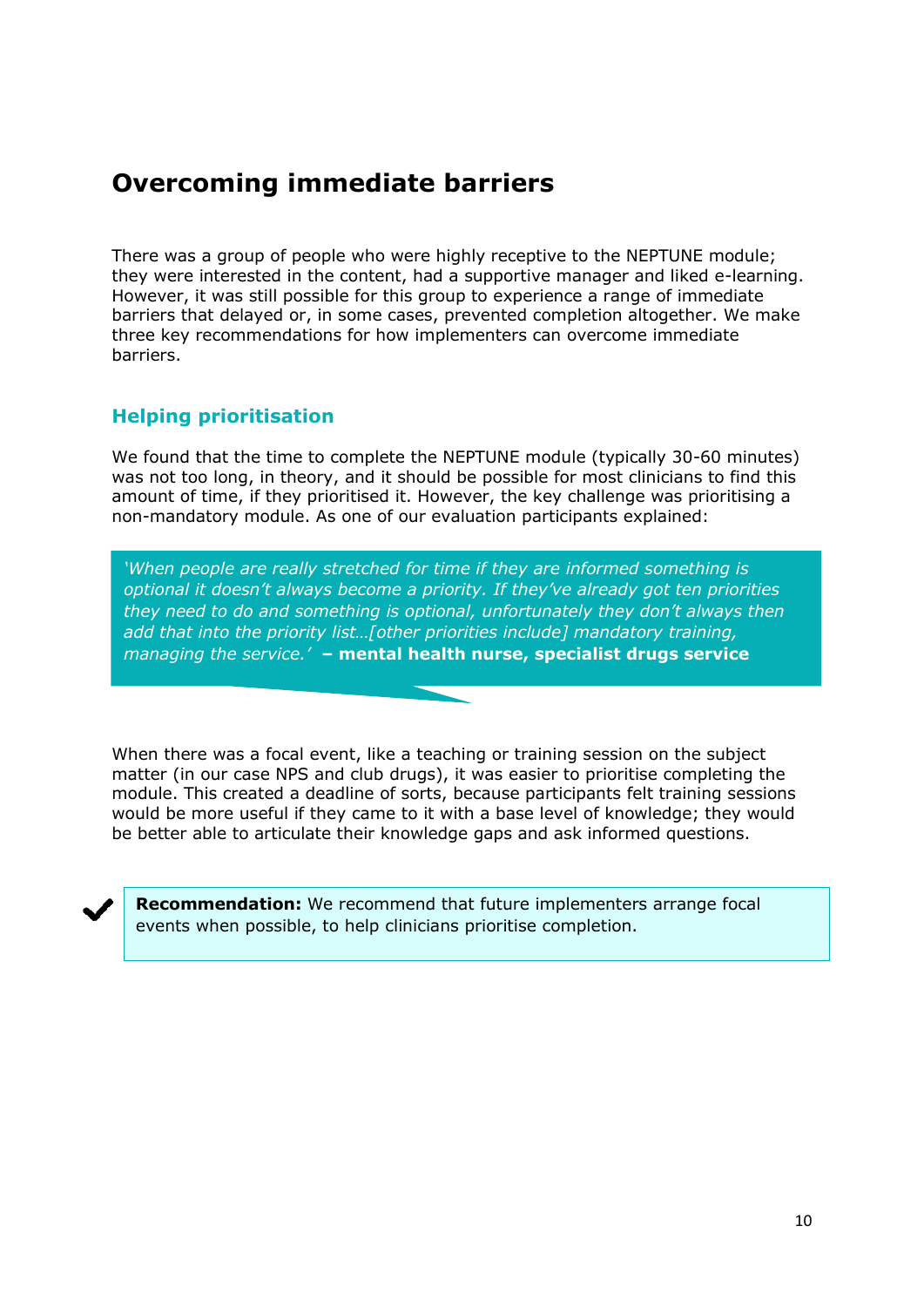# **Overcoming immediate barriers**

There was a group of people who were highly receptive to the NEPTUNE module; they were interested in the content, had a supportive manager and liked e-learning. However, it was still possible for this group to experience a range of immediate barriers that delayed or, in some cases, prevented completion altogether. We make three key recommendations for how implementers can overcome immediate barriers.

#### **Helping prioritisation**

We found that the time to complete the NEPTUNE module (typically 30-60 minutes) was not too long, in theory, and it should be possible for most clinicians to find this amount of time, if they prioritised it. However, the key challenge was prioritising a non-mandatory module. As one of our evaluation participants explained:

*'When people are really stretched for time if they are informed something is optional it doesn't always become a priority. If they've already got ten priorities they need to do and something is optional, unfortunately they don't always then add that into the priority list…[other priorities include] mandatory training, managing the service.'* **– mental health nurse, specialist drugs service**

When there was a focal event, like a teaching or training session on the subject matter (in our case NPS and club drugs), it was easier to prioritise completing the module. This created a deadline of sorts, because participants felt training sessions would be more useful if they came to it with a base level of knowledge; they would be better able to articulate their knowledge gaps and ask informed questions.

**Recommendation:** We recommend that future implementers arrange focal events when possible, to help clinicians prioritise completion.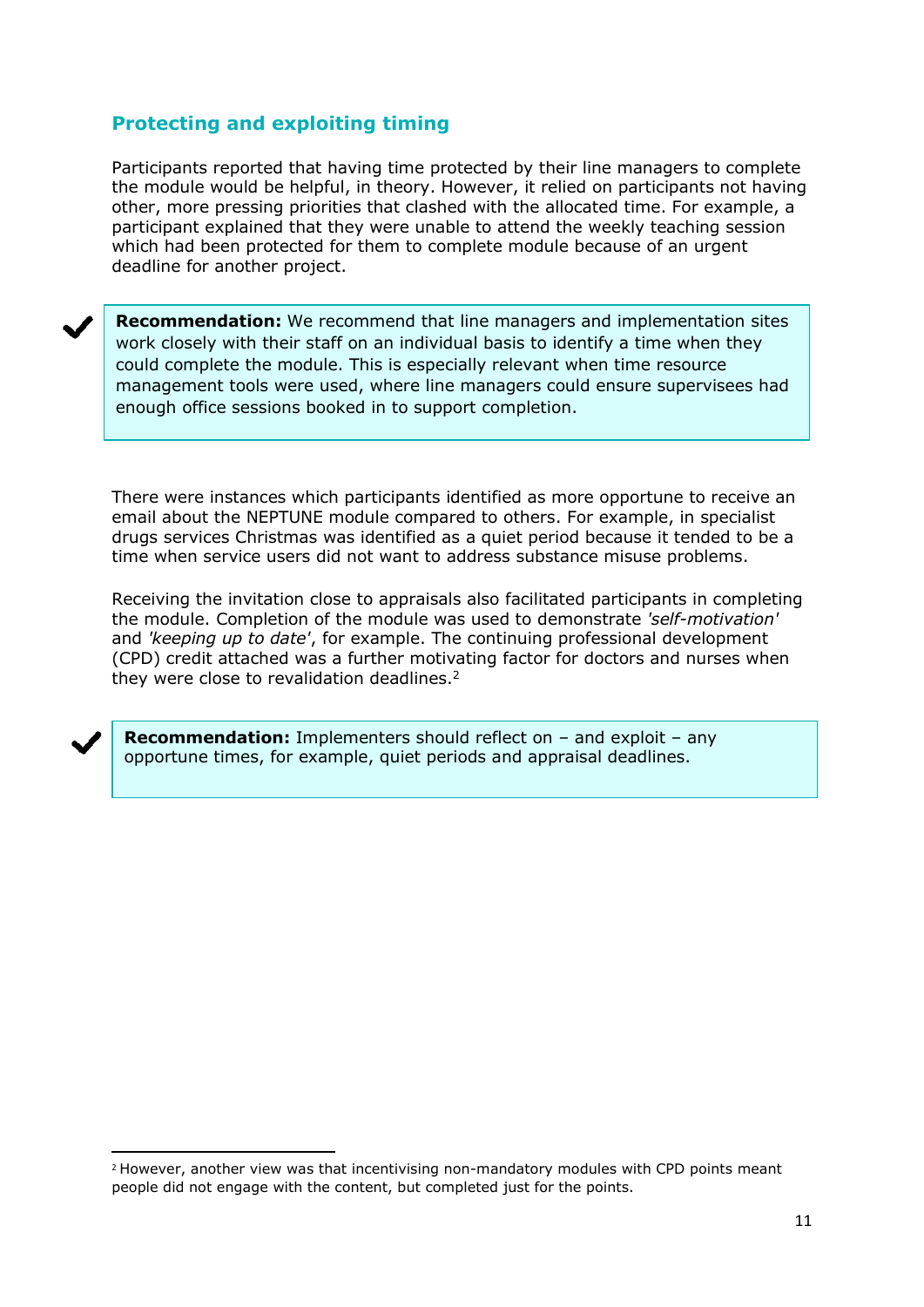## **Protecting and exploiting timing**

Participants reported that having time protected by their line managers to complete the module would be helpful, in theory. However, it relied on participants not having other, more pressing priorities that clashed with the allocated time. For example, a participant explained that they were unable to attend the weekly teaching session which had been protected for them to complete module because of an urgent deadline for another project.

**Recommendation:** We recommend that line managers and implementation sites work closely with their staff on an individual basis to identify a time when they could complete the module. This is especially relevant when time resource management tools were used, where line managers could ensure supervisees had enough office sessions booked in to support completion.

There were instances which participants identified as more opportune to receive an email about the NEPTUNE module compared to others. For example, in specialist drugs services Christmas was identified as a quiet period because it tended to be a time when service users did not want to address substance misuse problems.

Receiving the invitation close to appraisals also facilitated participants in completing the module. Completion of the module was used to demonstrate *'self-motivation'* and *'keeping up to date'*, for example. The continuing professional development (CPD) credit attached was a further motivating factor for doctors and nurses when they were close to revalidation deadlines.<sup>2</sup>



 $\overline{a}$ 

**Recommendation:** Implementers should reflect on – and exploit – any opportune times, for example, quiet periods and appraisal deadlines.

<sup>2</sup> However, another view was that incentivising non-mandatory modules with CPD points meant people did not engage with the content, but completed just for the points.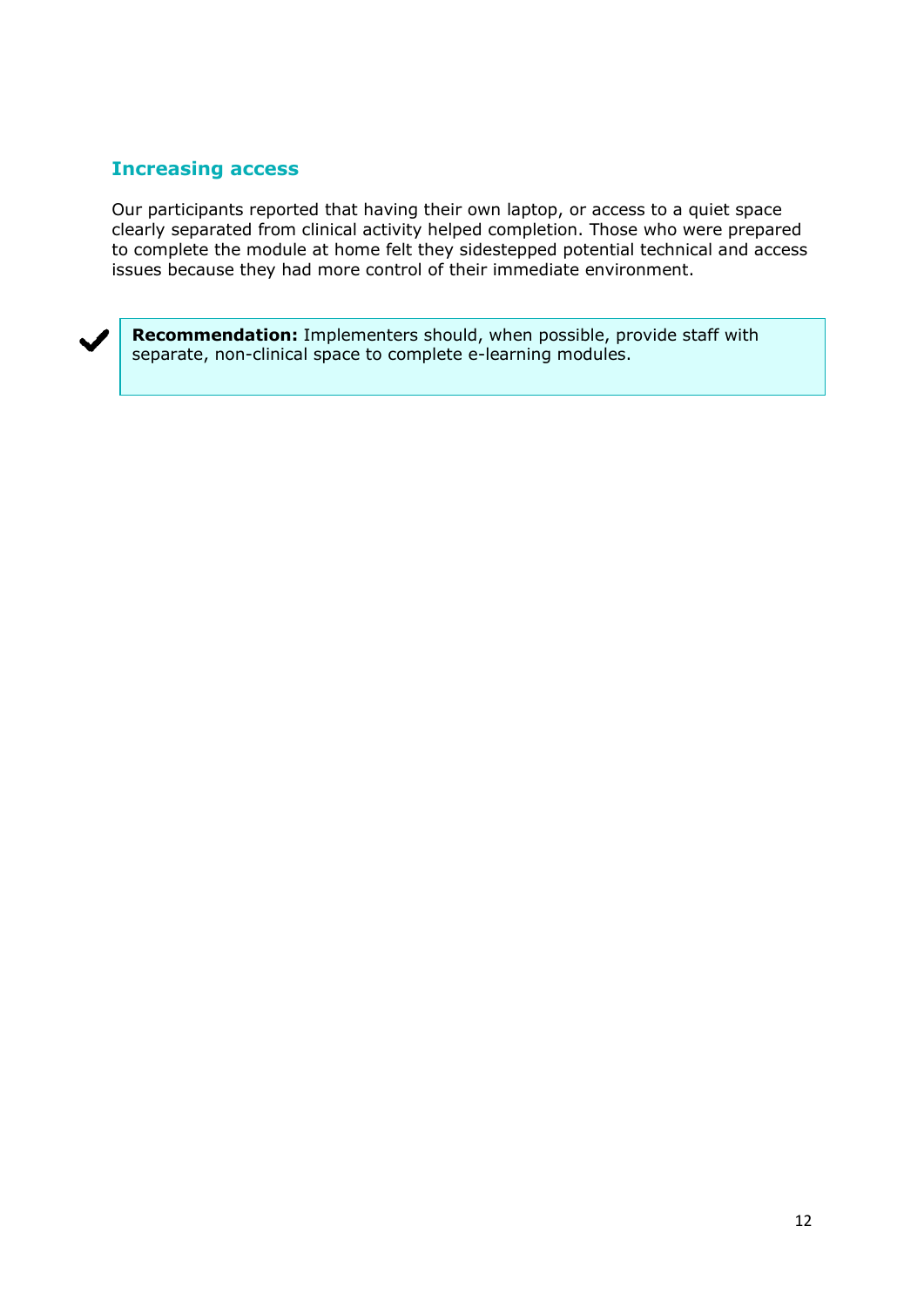#### **Increasing access**

Our participants reported that having their own laptop, or access to a quiet space clearly separated from clinical activity helped completion. Those who were prepared to complete the module at home felt they sidestepped potential technical and access issues because they had more control of their immediate environment.

**Recommendation:** Implementers should, when possible, provide staff with separate, non-clinical space to complete e-learning modules.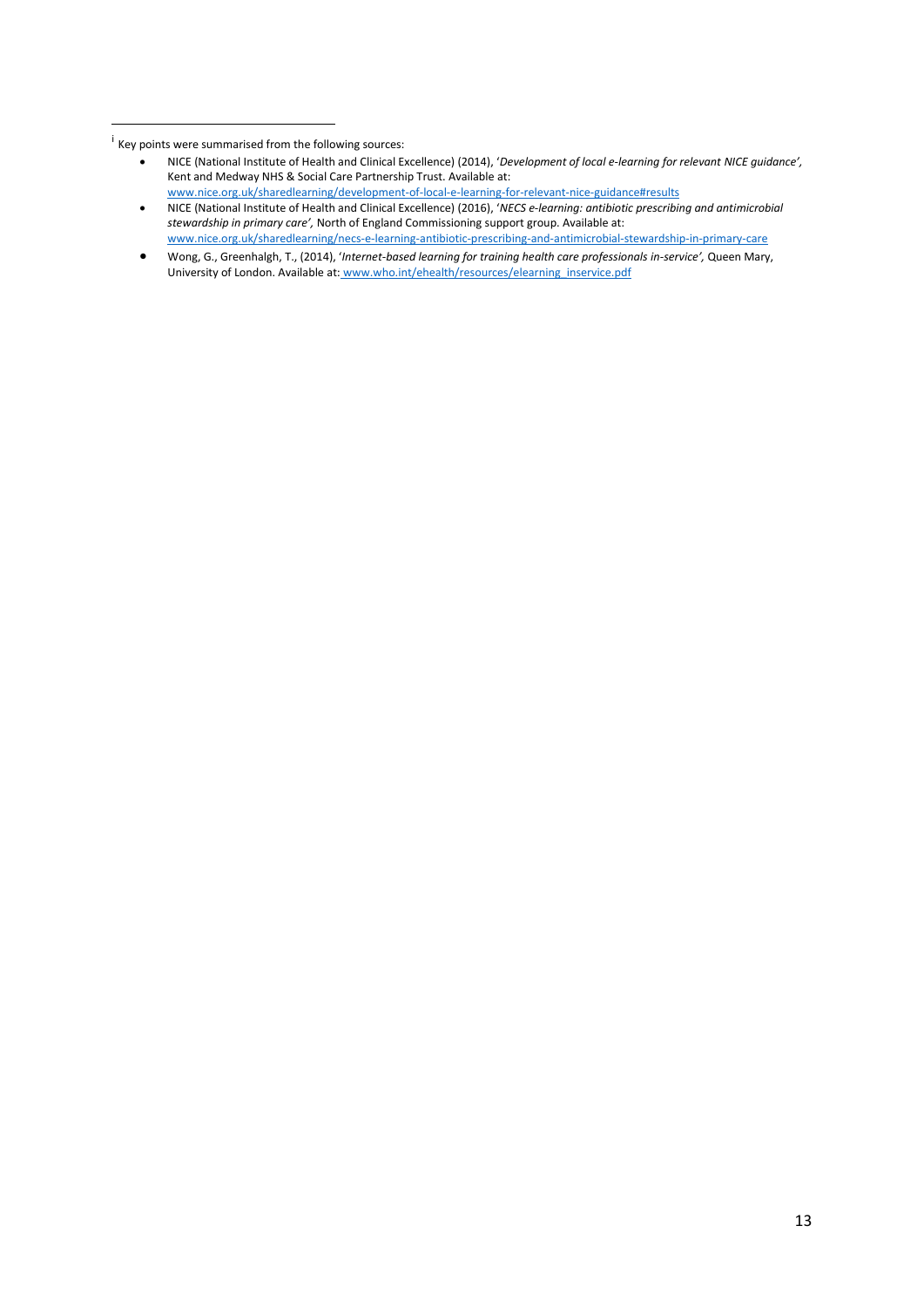1

 Wong, G., Greenhalgh, T., (2014), '*Internet-based learning for training health care professionals in-service',* Queen Mary, University of London. Available at: www.who.int/ehealth/resources/elearning\_inservice.pdf

<sup>&</sup>lt;sup>i</sup> Key points were summarised from the following sources:

NICE (National Institute of Health and Clinical Excellence) (2014), '*Development of local e-learning for relevant NICE guidance',*  Kent and Medway NHS & Social Care Partnership Trust. Available at: [www.nice.org.uk/sharedlearning/development-of-local-e-learning-for-relevant-nice-guidance#results](http://www.nice.org.uk/sharedlearning/development-of-local-e-learning-for-relevant-nice-guidance#results)

NICE (National Institute of Health and Clinical Excellence) (2016), '*NECS e-learning: antibiotic prescribing and antimicrobial stewardship in primary care',* North of England Commissioning support group. Available at: [www.nice.org.uk/sharedlearning/necs-e-learning-antibiotic-prescribing-and-antimicrobial-stewardship-in-primary-care](http://www.nice.org.uk/sharedlearning/necs-e-learning-antibiotic-prescribing-and-antimicrobial-stewardship-in-primary-care)